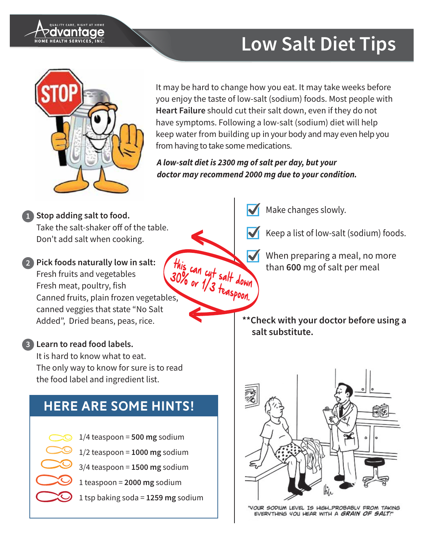



It may be hard to change how you eat. It may take weeks before you enjoy the taste of low-salt (sodium) foods. Most people with Heart Failure should cut their salt down, even if they do not have symptoms. Following a low-salt (sodium) diet will help keep water from building up in your body and may even help you from having to take some medications.

A low-salt diet is 2300 mg of salt per day, but your doctor may recommend 2000 mg due to your condition.

Stop adding salt to food. Take the salt-shaker off of the table. Don't add salt when cooking.

this can cut salt down<br>30% or 1/3 teaspoon. 2 Pick foods naturally low in salt: Fresh fruits and vegetables Fresh meat, poultry, fish Canned fruits, plain frozen vegetables, canned veggies that state "No Salt Added", Dried beans, peas, rice.

### 3 Learn to read food labels.

It is hard to know what to eat. The only way to know for sure is to read the food label and ingredient list.

## **HERE ARE SOME HINTS!**  $1/4$  teaspoon = 500 mg sodium  $1/2$  teaspoon = 1000 mg sodium  $3/4$  teaspoon = 1500 mg sodium 1 teaspoon =  $2000$  mg sodium 1 tsp baking soda = 1259 mg sodium

Make changes slowly.

Keep a list of low-salt (sodium) foods.

When preparing a meal, no more than 600 mg of salt per meal

\*\* Check with your doctor before using a salt substitute.



YOUR SODIUM LEVEL IS HIGH...PROBABLY FROM TAKING EVERYTHING YOU HEAR WITH A GRAIN OF SALT!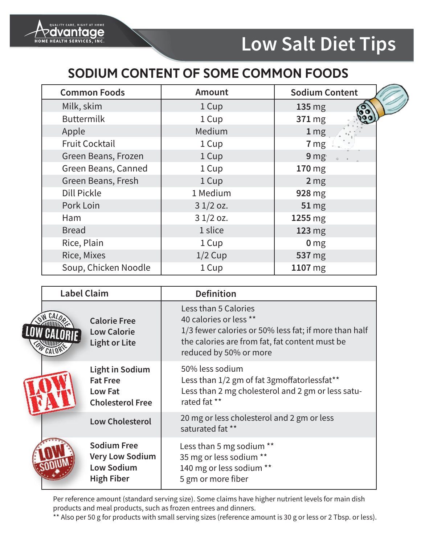

### SODIUM CONTENT OF SOME COMMON FOODS

| <b>Common Foods</b>   | <b>Amount</b> | <b>Sodium Content</b> |  |
|-----------------------|---------------|-----------------------|--|
| Milk, skim            | 1 Cup         | $135 \text{ mg}$      |  |
| <b>Buttermilk</b>     | 1 Cup         | 371 mg                |  |
| Apple                 | Medium        | $1 \,\mathrm{mg}$     |  |
| <b>Fruit Cocktail</b> | 1 Cup         | 7 <sub>mg</sub>       |  |
| Green Beans, Frozen   | 1 Cup         | 9mg <sub>°</sub>      |  |
| Green Beans, Canned   | 1 Cup         | 170 mg                |  |
| Green Beans, Fresh    | 1 Cup         | 2 <sub>mg</sub>       |  |
| <b>Dill Pickle</b>    | 1 Medium      | 928 mg                |  |
| Pork Loin             | $31/2$ oz.    | <b>51 mg</b>          |  |
| Ham                   | $31/2$ oz.    | 1255 mg               |  |
| <b>Bread</b>          | 1 slice       | 123 mg                |  |
| Rice, Plain           | 1 Cup         | 0 <sub>mg</sub>       |  |
| Rice, Mixes           | $1/2$ Cup     | 537 mg                |  |
| Soup, Chicken Noodle  | 1 Cup         | 1107 mg               |  |

| <b>Label Claim</b> |                                                                                        | <b>Definition</b>                                                                                                                                                                   |  |  |
|--------------------|----------------------------------------------------------------------------------------|-------------------------------------------------------------------------------------------------------------------------------------------------------------------------------------|--|--|
|                    | <b>Calorie Free</b><br><b>Low Calorie</b><br><b>Light or Lite</b>                      | Less than 5 Calories<br>40 calories or less **<br>1/3 fewer calories or 50% less fat; if more than half<br>the calories are from fat, fat content must be<br>reduced by 50% or more |  |  |
|                    | <b>Light in Sodium</b><br><b>Fat Free</b><br><b>Low Fat</b><br><b>Cholesterol Free</b> | 50% less sodium<br>Less than 1/2 gm of fat 3gmoffatorlessfat**<br>Less than 2 mg cholesterol and 2 gm or less satu-<br>rated fat **                                                 |  |  |
|                    | <b>Low Cholesterol</b>                                                                 | 20 mg or less cholesterol and 2 gm or less<br>saturated fat **                                                                                                                      |  |  |
|                    | <b>Sodium Free</b><br><b>Very Low Sodium</b><br><b>Low Sodium</b><br><b>High Fiber</b> | Less than 5 mg sodium **<br>35 mg or less sodium **<br>140 mg or less sodium **<br>5 gm or more fiber                                                                               |  |  |

Per reference amount (standard serving size). Some claims have higher nutrient levels for main dish products and meal products, such as frozen entrees and dinners.

\*\* Also per 50 g for products with small serving sizes (reference amount is 30 g or less or 2 Tbsp. or less).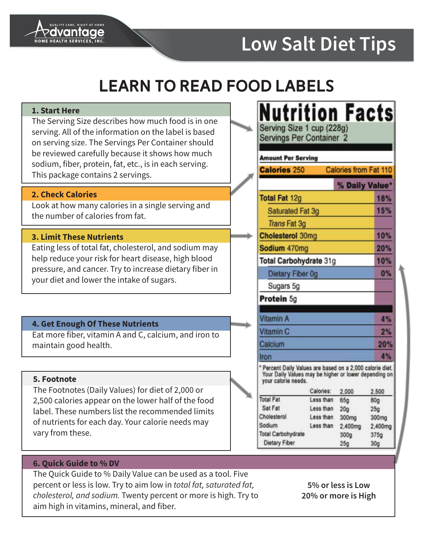

## **LEARN TO READ FOOD LABELS**

#### 1. Start Here

The Serving Size describes how much food is in one serving. All of the information on the label is based on serving size. The Servings Per Container should be reviewed carefully because it shows how much sodium, fiber, protein, fat, etc., is in each serving. This package contains 2 servings.

#### **2. Check Calories**

Look at how many calories in a single serving and the number of calories from fat.

#### **3. Limit These Nutrients**

Eating less of total fat, cholesterol, and sodium may help reduce your risk for heart disease, high blood pressure, and cancer. Try to increase dietary fiber in your diet and lower the intake of sugars.

### 4. Get Enough Of These Nutrients

Eat more fiber, vitamin A and C, calcium, and iron to maintain good health.

#### 5. Footnote

The Footnotes (Daily Values) for diet of 2,000 or 2,500 calories appear on the lower half of the food label. These numbers list the recommended limits of nutrients for each day. Your calorie needs may vary from these.

| <b>Saturated Fat 3g</b><br><b>Cholesterol 30mg</b><br>Total Carbohydrate 31g | Calories from Fat 110<br>% Daily Value | 18%<br>15%<br>10%<br>20%                                                                                                                                                         |
|------------------------------------------------------------------------------|----------------------------------------|----------------------------------------------------------------------------------------------------------------------------------------------------------------------------------|
|                                                                              |                                        |                                                                                                                                                                                  |
|                                                                              |                                        |                                                                                                                                                                                  |
|                                                                              |                                        |                                                                                                                                                                                  |
|                                                                              |                                        |                                                                                                                                                                                  |
|                                                                              |                                        |                                                                                                                                                                                  |
|                                                                              |                                        |                                                                                                                                                                                  |
|                                                                              |                                        |                                                                                                                                                                                  |
|                                                                              |                                        | 10%                                                                                                                                                                              |
| Dietary Fiber 0g                                                             |                                        | 0%                                                                                                                                                                               |
|                                                                              |                                        |                                                                                                                                                                                  |
|                                                                              |                                        |                                                                                                                                                                                  |
|                                                                              |                                        |                                                                                                                                                                                  |
|                                                                              |                                        | 4%                                                                                                                                                                               |
|                                                                              |                                        | 2%                                                                                                                                                                               |
|                                                                              |                                        |                                                                                                                                                                                  |
|                                                                              |                                        |                                                                                                                                                                                  |
|                                                                              |                                        |                                                                                                                                                                                  |
|                                                                              |                                        | 20%<br>4%                                                                                                                                                                        |
| Less than                                                                    |                                        | 2,500<br>80g                                                                                                                                                                     |
| Less than                                                                    |                                        | 25 <sub>g</sub>                                                                                                                                                                  |
| Less than                                                                    | 300mg                                  | 300mg                                                                                                                                                                            |
| Less than                                                                    | 2,400mg                                | 2,400mg                                                                                                                                                                          |
|                                                                              |                                        | 375g<br>30 <sub>q</sub>                                                                                                                                                          |
|                                                                              | Calones:                               | * Percent Daily Values are based on a 2,000 calorie diet.<br>Your Daily Values may be higher or lower depending on<br>2,000<br>65g<br>20 <sub>g</sub><br>300g<br>25 <sub>q</sub> |

#### 6. Ouick Guide to % DV

The Quick Guide to % Daily Value can be used as a tool. Five percent or less is low. Try to aim low in total fat, saturated fat, cholesterol, and sodium. Twenty percent or more is high. Try to aim high in vitamins, mineral, and fiber.

5% or less is Low 20% or more is High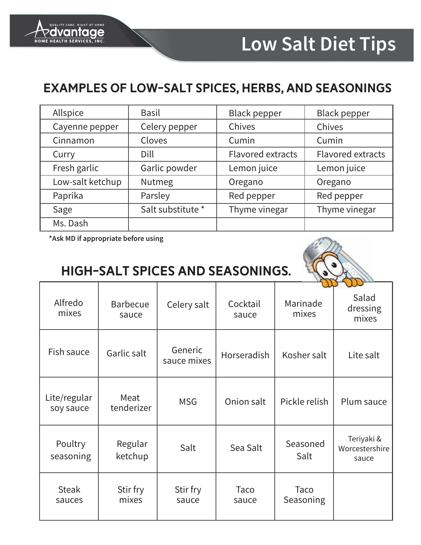

### **EXAMPLES OF LOW-SALT SPICES, HERBS, AND SEASONINGS**

| Allspice         | <b>Basil</b>      | <b>Black pepper</b>      | <b>Black pepper</b>      |
|------------------|-------------------|--------------------------|--------------------------|
| Cayenne pepper   | Celery pepper     | Chives                   | Chives                   |
| Cinnamon         | Cloves            | Cumin                    | Cumin                    |
| Curry            | Dill              | <b>Flavored extracts</b> | <b>Flavored extracts</b> |
| Fresh garlic     | Garlic powder     | Lemon juice              | Lemon juice              |
| Low-salt ketchup | Nutmeg            | Oregano                  | Oregano                  |
| Paprika          | Parsley           | Red pepper               | Red pepper               |
| Sage             | Salt substitute * | Thyme vinegar            | Thyme vinegar            |
| Ms. Dash         |                   |                          |                          |

\*Ask MD if appropriate before using

### HIGH-SALT SPICES AND SEASONINGS.



|                           |                          |                        |                   |                   | w                                     |
|---------------------------|--------------------------|------------------------|-------------------|-------------------|---------------------------------------|
| Alfredo<br>mixes          | <b>Barbecue</b><br>sauce | Celery salt            | Cocktail<br>sauce | Marinade<br>mixes | Salad<br>dressing<br>mixes            |
| Fish sauce                | Garlic salt              | Generic<br>sauce mixes | Horseradish       | Kosher salt       | Lite salt                             |
| Lite/regular<br>soy sauce | Meat<br>tenderizer       | <b>MSG</b>             | Onion salt        | Pickle relish     | Plum sauce                            |
| Poultry<br>seasoning      | Regular<br>ketchup       | Salt                   | Sea Salt          | Seasoned<br>Salt  | Teriyaki &<br>Worcestershire<br>sauce |
| <b>Steak</b><br>sauces    | Stir fry<br>mixes        | Stir fry<br>sauce      | Taco<br>sauce     | Taco<br>Seasoning |                                       |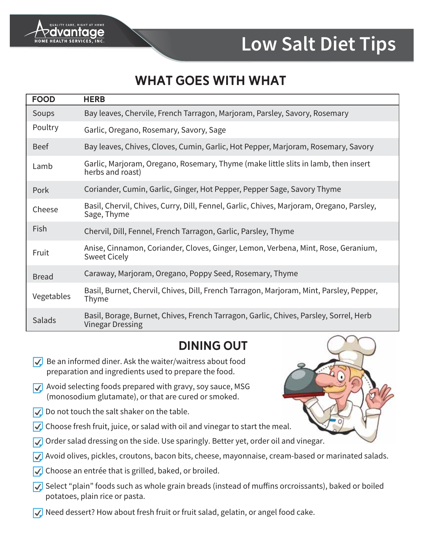

### **WHAT GOES WITH WHAT**

| <b>FOOD</b>  | <b>HERB</b>                                                                                                      |
|--------------|------------------------------------------------------------------------------------------------------------------|
| Soups        | Bay leaves, Chervile, French Tarragon, Marjoram, Parsley, Savory, Rosemary                                       |
| Poultry      | Garlic, Oregano, Rosemary, Savory, Sage                                                                          |
| <b>Beef</b>  | Bay leaves, Chives, Cloves, Cumin, Garlic, Hot Pepper, Marjoram, Rosemary, Savory                                |
| Lamb         | Garlic, Marjoram, Oregano, Rosemary, Thyme (make little slits in lamb, then insert<br>herbs and roast)           |
| Pork         | Coriander, Cumin, Garlic, Ginger, Hot Pepper, Pepper Sage, Savory Thyme                                          |
| Cheese       | Basil, Chervil, Chives, Curry, Dill, Fennel, Garlic, Chives, Marjoram, Oregano, Parsley,<br>Sage, Thyme          |
| Fish         | Chervil, Dill, Fennel, French Tarragon, Garlic, Parsley, Thyme                                                   |
| Fruit        | Anise, Cinnamon, Coriander, Cloves, Ginger, Lemon, Verbena, Mint, Rose, Geranium,<br><b>Sweet Cicely</b>         |
| <b>Bread</b> | Caraway, Marjoram, Oregano, Poppy Seed, Rosemary, Thyme                                                          |
| Vegetables   | Basil, Burnet, Chervil, Chives, Dill, French Tarragon, Marjoram, Mint, Parsley, Pepper,<br>Thyme                 |
| Salads       | Basil, Borage, Burnet, Chives, French Tarragon, Garlic, Chives, Parsley, Sorrel, Herb<br><b>Vinegar Dressing</b> |

### **DINING OUT**

- $\sqrt{\phantom{a}}$  Be an informed diner. Ask the waiter/waitress about food preparation and ingredients used to prepare the food.
- $\sqrt{\phantom{a}}$  Avoid selecting foods prepared with gravy, soy sauce, MSG (monosodium glutamate), or that are cured or smoked.
- $\sqrt{\phantom{a}}$  Do not touch the salt shaker on the table.
- $\sqrt{\phantom{a}}$  Choose fresh fruit, juice, or salad with oil and vinegar to start the meal.
- √ Order salad dressing on the side. Use sparingly. Better yet, order oil and vinegar.
- √ Avoid olives, pickles, croutons, bacon bits, cheese, mayonnaise, cream-based or marinated salads.
- √ Choose an entrée that is grilled, baked, or broiled.
- √ Select "plain" foods such as whole grain breads (instead of muffins orcroissants), baked or boiled potatoes, plain rice or pasta.
- $\sqrt{\phantom{a}}$  Need dessert? How about fresh fruit or fruit salad, gelatin, or angel food cake.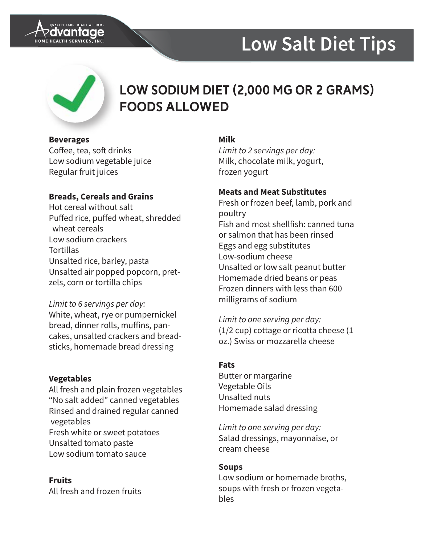



### LOW SODIUM DIET (2,000 MG OR 2 GRAMS) **FOODS ALLOWED**

#### **Beverages**

Coffee, tea, soft drinks Low sodium vegetable juice Regular fruit juices

### **Breads, Cereals and Grains**

Hot cereal without salt Puffed rice, puffed wheat, shredded wheat cereals Low sodium crackers **Tortillas** Unsalted rice, barley, pasta Unsalted air popped popcorn, pretzels, corn or tortilla chips

### Limit to 6 servings per day:

White, wheat, rye or pumpernickel bread, dinner rolls, muffins, pancakes, unsalted crackers and breadsticks, homemade bread dressing

### **Vegetables**

All fresh and plain frozen vegetables "No salt added" canned vegetables Rinsed and drained regular canned vegetables Fresh white or sweet potatoes Unsalted tomato paste Low sodium tomato sauce

**Fruits** All fresh and frozen fruits

### **Milk**

Limit to 2 servings per day: Milk, chocolate milk, yogurt, frozen yogurt

### **Meats and Meat Substitutes**

Fresh or frozen beef, lamb, pork and poultry Fish and most shellfish: canned tuna or salmon that has been rinsed Eggs and egg substitutes Low-sodium cheese Unsalted or low salt peanut butter Homemade dried beans or peas Frozen dinners with less than 600 milligrams of sodium

Limit to one serving per day:  $(1/2$  cup) cottage or ricotta cheese  $(1)$ oz.) Swiss or mozzarella cheese

### **Fats**

Butter or margarine Vegetable Oils Unsalted nuts Homemade salad dressing

Limit to one serving per day: Salad dressings, mayonnaise, or cream cheese

### **Soups**

Low sodium or homemade broths. soups with fresh or frozen vegetables